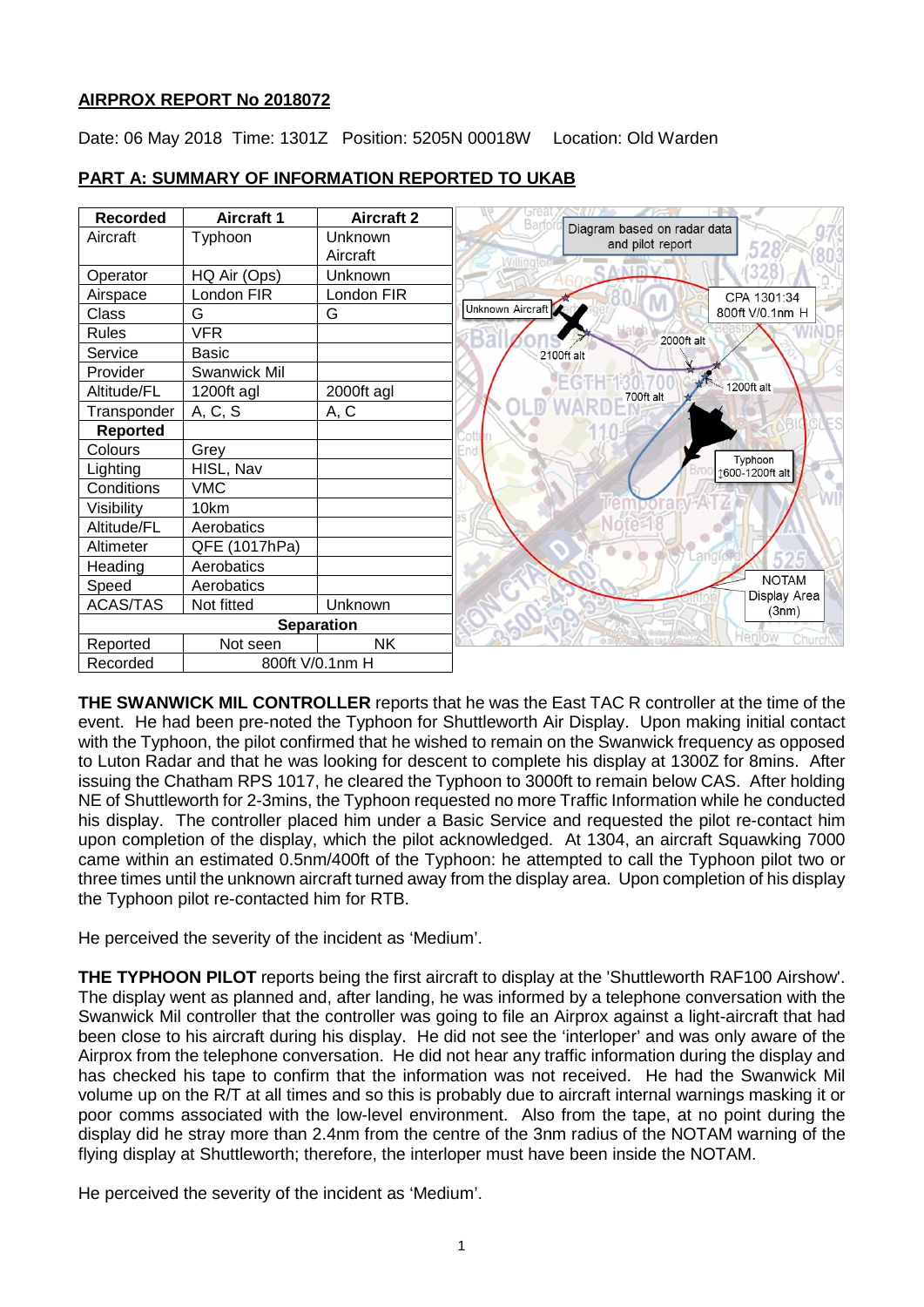## **AIRPROX REPORT No 2018072**

Date: 06 May 2018 Time: 1301Z Position: 5205N 00018W Location: Old Warden



## **PART A: SUMMARY OF INFORMATION REPORTED TO UKAB**

**THE SWANWICK MIL CONTROLLER** reports that he was the East TAC R controller at the time of the event. He had been pre-noted the Typhoon for Shuttleworth Air Display. Upon making initial contact with the Typhoon, the pilot confirmed that he wished to remain on the Swanwick frequency as opposed to Luton Radar and that he was looking for descent to complete his display at 1300Z for 8mins. After issuing the Chatham RPS 1017, he cleared the Typhoon to 3000ft to remain below CAS. After holding NE of Shuttleworth for 2-3mins, the Typhoon requested no more Traffic Information while he conducted his display. The controller placed him under a Basic Service and requested the pilot re-contact him upon completion of the display, which the pilot acknowledged. At 1304, an aircraft Squawking 7000 came within an estimated 0.5nm/400ft of the Typhoon: he attempted to call the Typhoon pilot two or three times until the unknown aircraft turned away from the display area. Upon completion of his display the Typhoon pilot re-contacted him for RTB.

He perceived the severity of the incident as 'Medium'.

**THE TYPHOON PILOT** reports being the first aircraft to display at the 'Shuttleworth RAF100 Airshow'. The display went as planned and, after landing, he was informed by a telephone conversation with the Swanwick Mil controller that the controller was going to file an Airprox against a light-aircraft that had been close to his aircraft during his display. He did not see the 'interloper' and was only aware of the Airprox from the telephone conversation. He did not hear any traffic information during the display and has checked his tape to confirm that the information was not received. He had the Swanwick Mil volume up on the R/T at all times and so this is probably due to aircraft internal warnings masking it or poor comms associated with the low-level environment. Also from the tape, at no point during the display did he stray more than 2.4nm from the centre of the 3nm radius of the NOTAM warning of the flying display at Shuttleworth; therefore, the interloper must have been inside the NOTAM.

He perceived the severity of the incident as 'Medium'.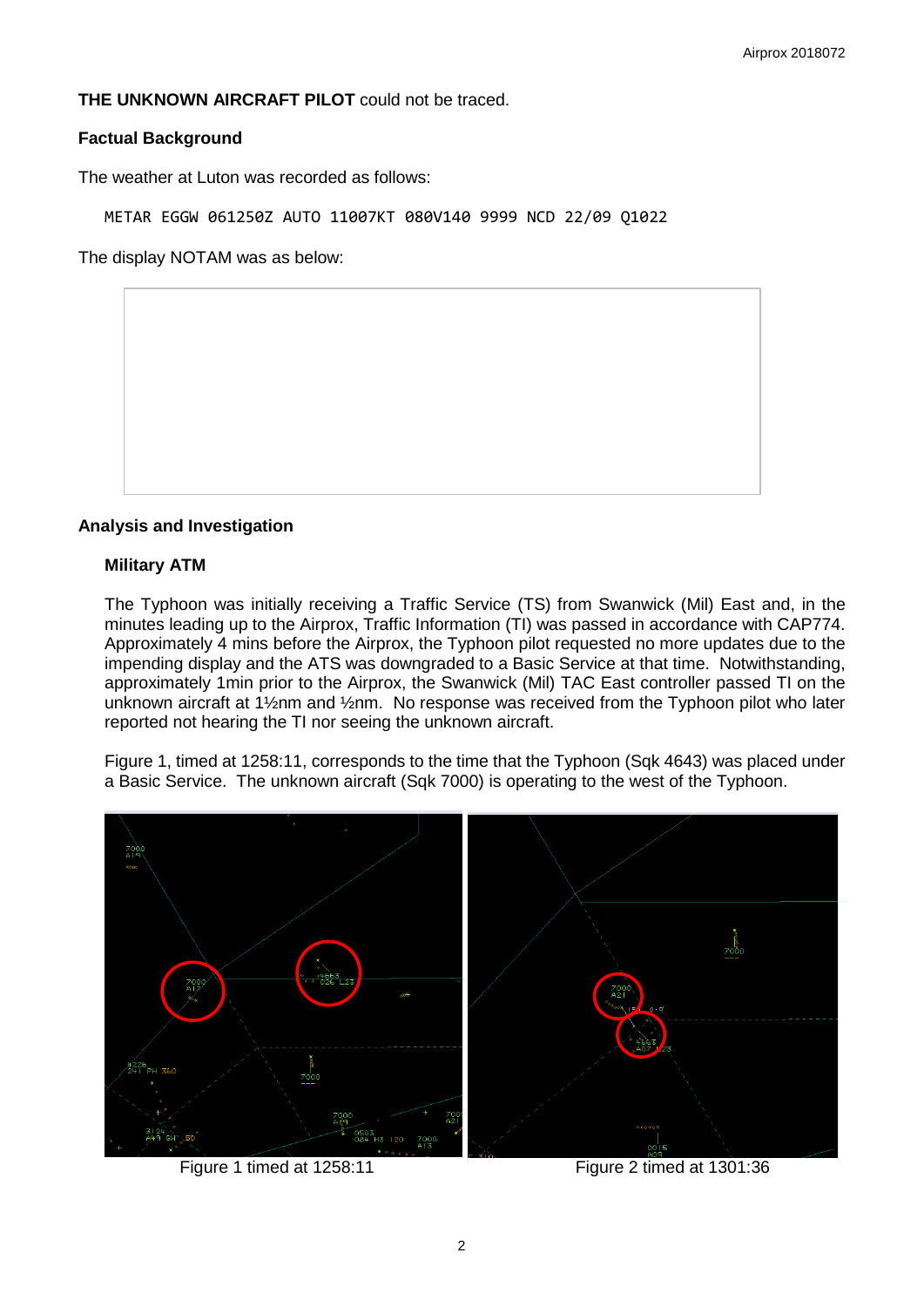## **THE UNKNOWN AIRCRAFT PILOT** could not be traced.

### **Factual Background**

The weather at Luton was recorded as follows:

METAR EGGW 061250Z AUTO 11007KT 080V140 9999 NCD 22/09 Q1022

The display NOTAM was as below:

#### **Analysis and Investigation**

#### **Military ATM**

The Typhoon was initially receiving a Traffic Service (TS) from Swanwick (Mil) East and, in the minutes leading up to the Airprox, Traffic Information (TI) was passed in accordance with CAP774. Approximately 4 mins before the Airprox, the Typhoon pilot requested no more updates due to the impending display and the ATS was downgraded to a Basic Service at that time. Notwithstanding, approximately 1min prior to the Airprox, the Swanwick (Mil) TAC East controller passed TI on the unknown aircraft at 1½nm and ½nm. No response was received from the Typhoon pilot who later reported not hearing the TI nor seeing the unknown aircraft.

Figure 1, timed at 1258:11, corresponds to the time that the Typhoon (Sqk 4643) was placed under a Basic Service. The unknown aircraft (Sqk 7000) is operating to the west of the Typhoon.



Figure 1 timed at 1258:11 Figure 2 timed at 1301:36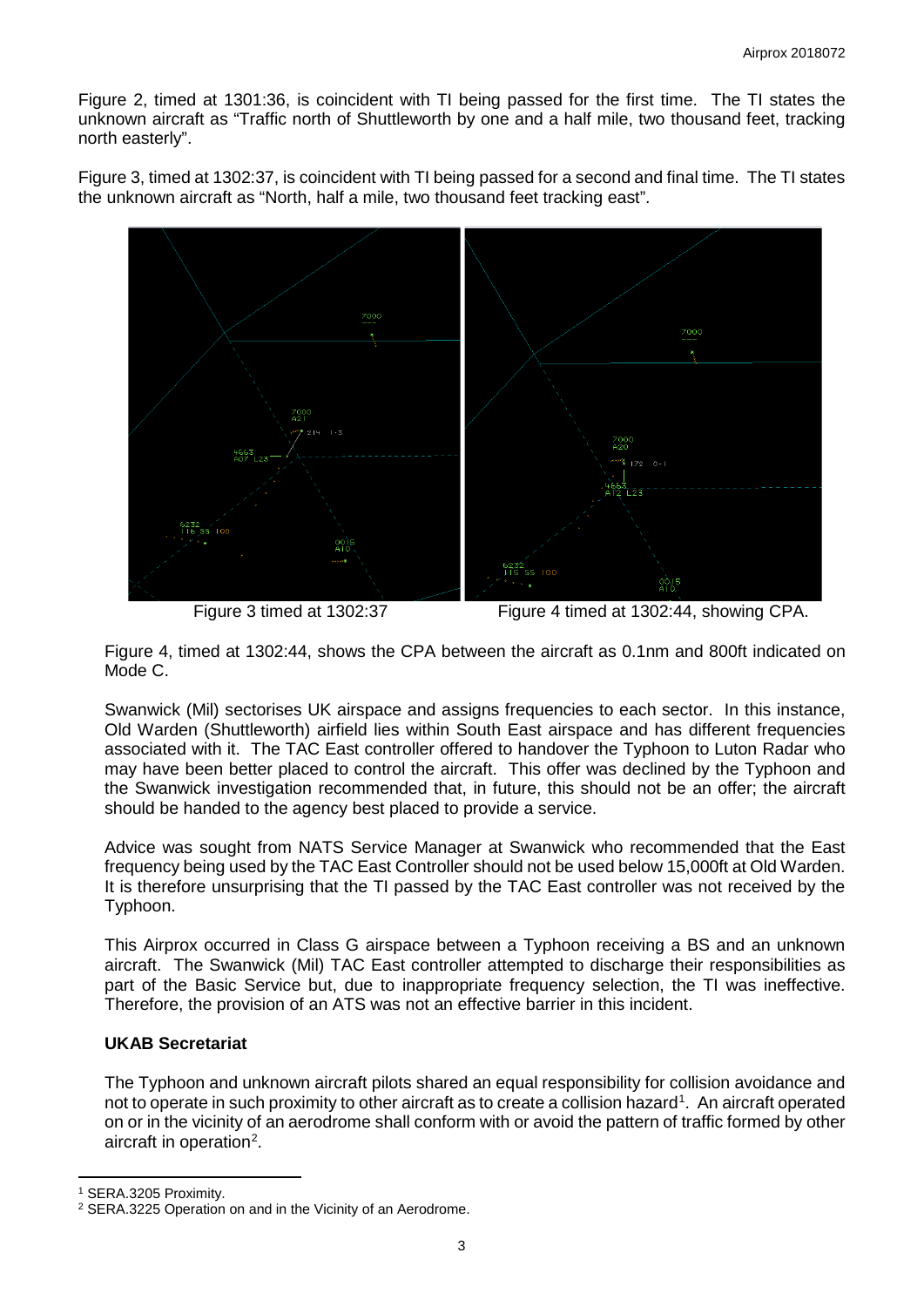Figure 2, timed at 1301:36, is coincident with TI being passed for the first time. The TI states the unknown aircraft as "Traffic north of Shuttleworth by one and a half mile, two thousand feet, tracking north easterly".

Figure 3, timed at 1302:37, is coincident with TI being passed for a second and final time. The TI states the unknown aircraft as "North, half a mile, two thousand feet tracking east".



Figure 3 timed at 1302:37 Figure 4 timed at 1302:44, showing CPA.

Figure 4, timed at 1302:44, shows the CPA between the aircraft as 0.1nm and 800ft indicated on Mode C.

Swanwick (Mil) sectorises UK airspace and assigns frequencies to each sector. In this instance, Old Warden (Shuttleworth) airfield lies within South East airspace and has different frequencies associated with it. The TAC East controller offered to handover the Typhoon to Luton Radar who may have been better placed to control the aircraft. This offer was declined by the Typhoon and the Swanwick investigation recommended that, in future, this should not be an offer; the aircraft should be handed to the agency best placed to provide a service.

Advice was sought from NATS Service Manager at Swanwick who recommended that the East frequency being used by the TAC East Controller should not be used below 15,000ft at Old Warden. It is therefore unsurprising that the TI passed by the TAC East controller was not received by the Typhoon.

This Airprox occurred in Class G airspace between a Typhoon receiving a BS and an unknown aircraft. The Swanwick (Mil) TAC East controller attempted to discharge their responsibilities as part of the Basic Service but, due to inappropriate frequency selection, the TI was ineffective. Therefore, the provision of an ATS was not an effective barrier in this incident.

# **UKAB Secretariat**

The Typhoon and unknown aircraft pilots shared an equal responsibility for collision avoidance and not to operate in such proximity to other aircraft as to create a collision hazard<sup>[1](#page-2-0)</sup>. An aircraft operated on or in the vicinity of an aerodrome shall conform with or avoid the pattern of traffic formed by other aircraft in operation<sup>[2](#page-2-1)</sup>.

l

<span id="page-2-0"></span><sup>1</sup> SERA.3205 Proximity.

<span id="page-2-1"></span><sup>2</sup> SERA.3225 Operation on and in the Vicinity of an Aerodrome.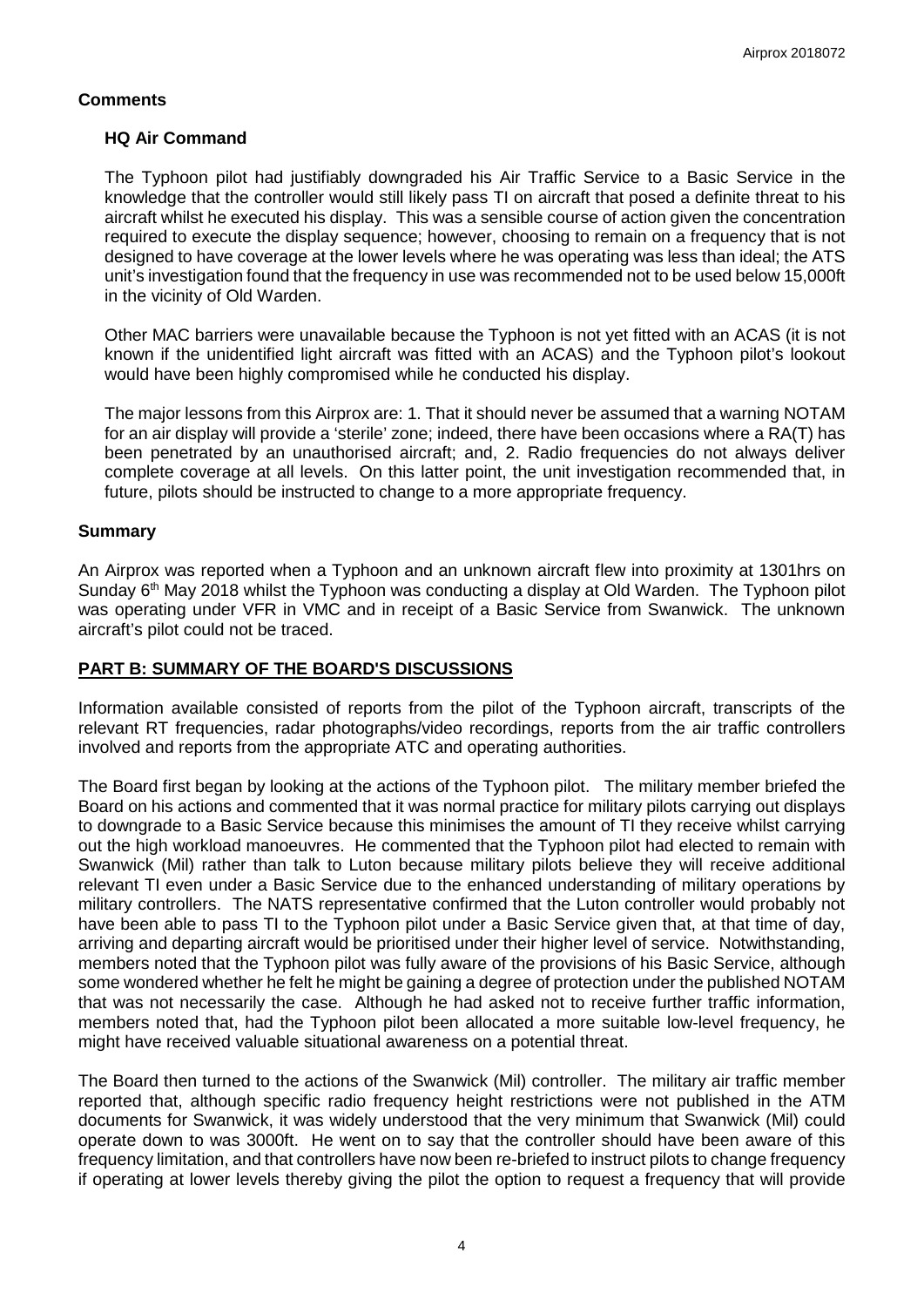## **Comments**

## **HQ Air Command**

The Typhoon pilot had justifiably downgraded his Air Traffic Service to a Basic Service in the knowledge that the controller would still likely pass TI on aircraft that posed a definite threat to his aircraft whilst he executed his display. This was a sensible course of action given the concentration required to execute the display sequence; however, choosing to remain on a frequency that is not designed to have coverage at the lower levels where he was operating was less than ideal; the ATS unit's investigation found that the frequency in use was recommended not to be used below 15,000ft in the vicinity of Old Warden.

Other MAC barriers were unavailable because the Typhoon is not yet fitted with an ACAS (it is not known if the unidentified light aircraft was fitted with an ACAS) and the Typhoon pilot's lookout would have been highly compromised while he conducted his display.

The major lessons from this Airprox are: 1. That it should never be assumed that a warning NOTAM for an air display will provide a 'sterile' zone; indeed, there have been occasions where a RA(T) has been penetrated by an unauthorised aircraft; and, 2. Radio frequencies do not always deliver complete coverage at all levels. On this latter point, the unit investigation recommended that, in future, pilots should be instructed to change to a more appropriate frequency.

## **Summary**

An Airprox was reported when a Typhoon and an unknown aircraft flew into proximity at 1301hrs on Sunday 6<sup>th</sup> May 2018 whilst the Typhoon was conducting a display at Old Warden. The Typhoon pilot was operating under VFR in VMC and in receipt of a Basic Service from Swanwick. The unknown aircraft's pilot could not be traced.

## **PART B: SUMMARY OF THE BOARD'S DISCUSSIONS**

Information available consisted of reports from the pilot of the Typhoon aircraft, transcripts of the relevant RT frequencies, radar photographs/video recordings, reports from the air traffic controllers involved and reports from the appropriate ATC and operating authorities.

The Board first began by looking at the actions of the Typhoon pilot. The military member briefed the Board on his actions and commented that it was normal practice for military pilots carrying out displays to downgrade to a Basic Service because this minimises the amount of TI they receive whilst carrying out the high workload manoeuvres. He commented that the Typhoon pilot had elected to remain with Swanwick (Mil) rather than talk to Luton because military pilots believe they will receive additional relevant TI even under a Basic Service due to the enhanced understanding of military operations by military controllers. The NATS representative confirmed that the Luton controller would probably not have been able to pass TI to the Typhoon pilot under a Basic Service given that, at that time of day, arriving and departing aircraft would be prioritised under their higher level of service. Notwithstanding, members noted that the Typhoon pilot was fully aware of the provisions of his Basic Service, although some wondered whether he felt he might be gaining a degree of protection under the published NOTAM that was not necessarily the case. Although he had asked not to receive further traffic information, members noted that, had the Typhoon pilot been allocated a more suitable low-level frequency, he might have received valuable situational awareness on a potential threat.

The Board then turned to the actions of the Swanwick (Mil) controller. The military air traffic member reported that, although specific radio frequency height restrictions were not published in the ATM documents for Swanwick, it was widely understood that the very minimum that Swanwick (Mil) could operate down to was 3000ft. He went on to say that the controller should have been aware of this frequency limitation, and that controllers have now been re-briefed to instruct pilots to change frequency if operating at lower levels thereby giving the pilot the option to request a frequency that will provide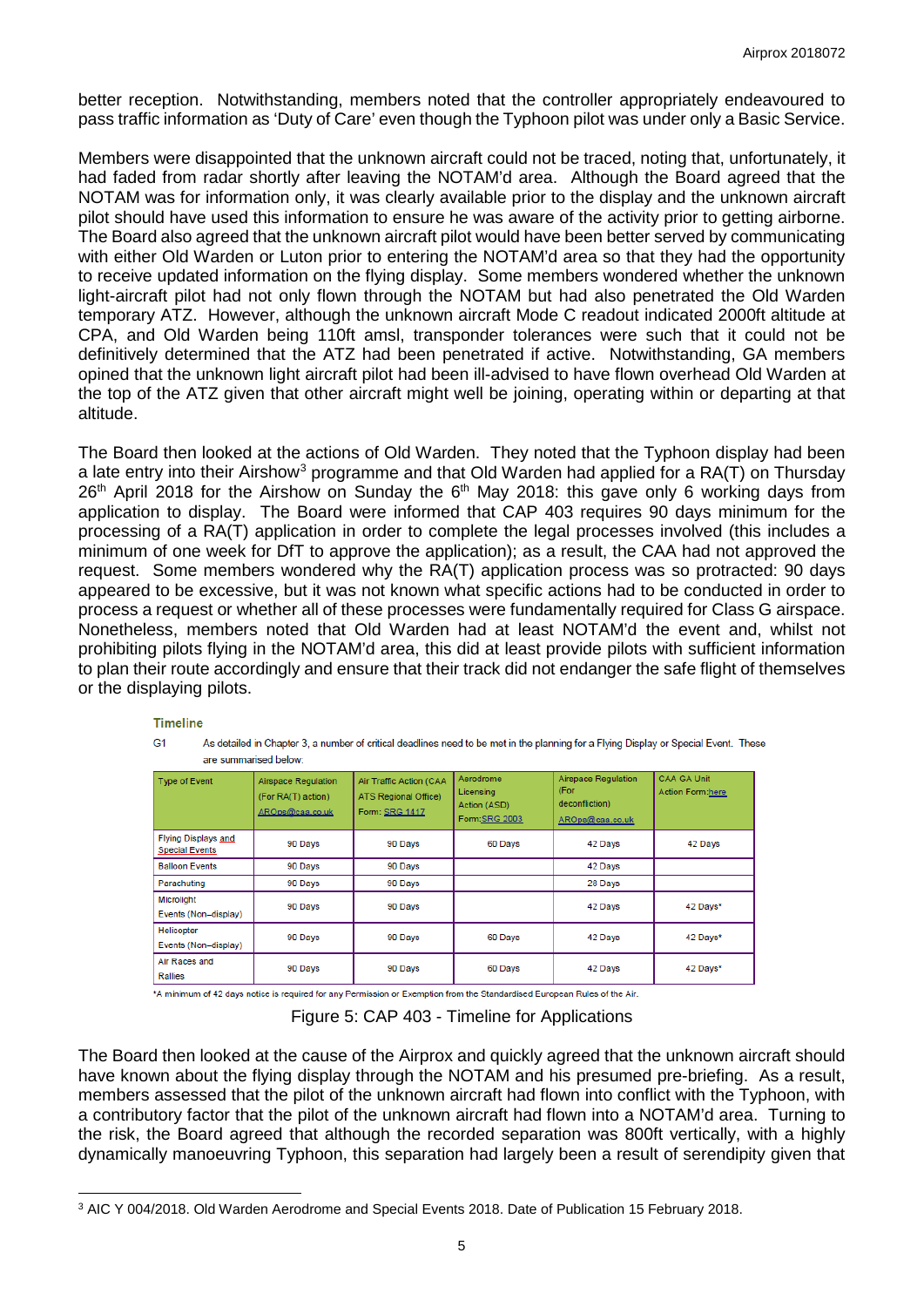better reception. Notwithstanding, members noted that the controller appropriately endeavoured to pass traffic information as 'Duty of Care' even though the Typhoon pilot was under only a Basic Service.

Members were disappointed that the unknown aircraft could not be traced, noting that, unfortunately, it had faded from radar shortly after leaving the NOTAM'd area. Although the Board agreed that the NOTAM was for information only, it was clearly available prior to the display and the unknown aircraft pilot should have used this information to ensure he was aware of the activity prior to getting airborne. The Board also agreed that the unknown aircraft pilot would have been better served by communicating with either Old Warden or Luton prior to entering the NOTAM'd area so that they had the opportunity to receive updated information on the flying display. Some members wondered whether the unknown light-aircraft pilot had not only flown through the NOTAM but had also penetrated the Old Warden temporary ATZ. However, although the unknown aircraft Mode C readout indicated 2000ft altitude at CPA, and Old Warden being 110ft amsl, transponder tolerances were such that it could not be definitively determined that the ATZ had been penetrated if active. Notwithstanding, GA members opined that the unknown light aircraft pilot had been ill-advised to have flown overhead Old Warden at the top of the ATZ given that other aircraft might well be joining, operating within or departing at that altitude.

The Board then looked at the actions of Old Warden. They noted that the Typhoon display had been a late entry into their Airshow<sup>[3](#page-4-0)</sup> programme and that Old Warden had applied for a RA(T) on Thursday  $26<sup>th</sup>$  April 2018 for the Airshow on Sunday the  $6<sup>th</sup>$  May 2018: this gave only 6 working days from application to display. The Board were informed that CAP 403 requires 90 days minimum for the processing of a RA(T) application in order to complete the legal processes involved (this includes a minimum of one week for DfT to approve the application); as a result, the CAA had not approved the request. Some members wondered why the RA(T) application process was so protracted: 90 days appeared to be excessive, but it was not known what specific actions had to be conducted in order to process a request or whether all of these processes were fundamentally required for Class G airspace. Nonetheless, members noted that Old Warden had at least NOTAM'd the event and, whilst not prohibiting pilots flying in the NOTAM'd area, this did at least provide pilots with sufficient information to plan their route accordingly and ensure that their track did not endanger the safe flight of themselves or the displaying pilots.

#### **Timeline**

 $\overline{\phantom{a}}$ 

 $G<sub>1</sub>$ As detailed in Chapter 3, a number of critical deadlines need to be met in the planning for a Flying Display or Special Event. These are summarised below

| Type of Event                                       | Airspace Regulation<br>(For RA(T) action)<br>AROps@caa.co.uk | Air Traffic Action (CAA<br><b>ATS Regional Office)</b><br>Form: SRG 1417 | Aerodrome<br>Licensing<br>Action (ASD)<br>Form:SRG 2003 | Airspace Regulation<br>(For<br>deconfliction)<br>AROps@caa.co.uk | CAA GA Unit<br>Action Form:here |
|-----------------------------------------------------|--------------------------------------------------------------|--------------------------------------------------------------------------|---------------------------------------------------------|------------------------------------------------------------------|---------------------------------|
| <b>Flying Displays and</b><br><b>Special Events</b> | 90 Days                                                      | 90 Days                                                                  | 60 Days                                                 | 42 Days                                                          | 42 Days                         |
| <b>Balloon Events</b>                               | 90 Days                                                      | 90 Days                                                                  |                                                         | 42 Days                                                          |                                 |
| Parachuting                                         | 90 Days                                                      | 90 Days                                                                  |                                                         | 28 Days                                                          |                                 |
| Microlight<br>Events (Non-display)                  | 90 Days                                                      | 90 Days                                                                  |                                                         | 42 Days                                                          | 42 Days*                        |
| Helicopter<br>Events (Non-display)                  | 90 Days                                                      | 90 Days                                                                  | 60 Days                                                 | 42 Days                                                          | 42 Days*                        |
| Air Races and<br><b>Rallies</b>                     | 90 Days                                                      | 90 Days                                                                  | 60 Days                                                 | 42 Days                                                          | 42 Days*                        |

\*A minimum of 42 days notice is required for any Permission or Exemption from the Standardised European Rules of the Air.

Figure 5: CAP 403 - Timeline for Applications

The Board then looked at the cause of the Airprox and quickly agreed that the unknown aircraft should have known about the flying display through the NOTAM and his presumed pre-briefing. As a result, members assessed that the pilot of the unknown aircraft had flown into conflict with the Typhoon, with a contributory factor that the pilot of the unknown aircraft had flown into a NOTAM'd area. Turning to the risk, the Board agreed that although the recorded separation was 800ft vertically, with a highly dynamically manoeuvring Typhoon, this separation had largely been a result of serendipity given that

<span id="page-4-0"></span><sup>3</sup> AIC Y 004/2018. Old Warden Aerodrome and Special Events 2018. Date of Publication 15 February 2018.